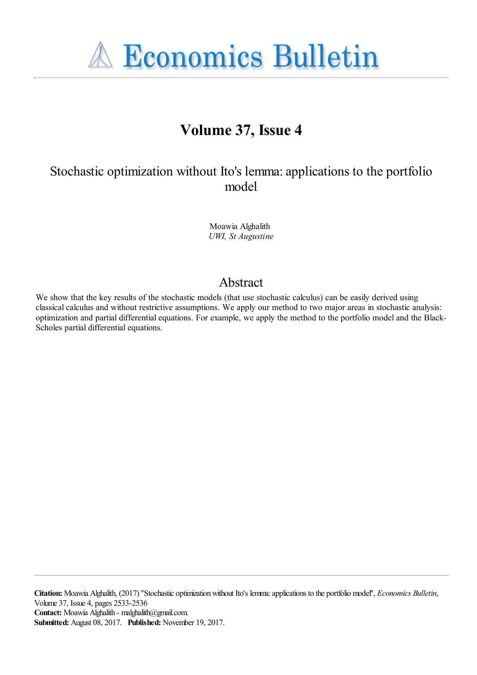**A Economics Bulletin** 

# **Volume 37, Issue 4**

## Stochastic optimization without Ito's lemma: applications to the portfolio model

Moawia Alghalith *UWI, St Augustine*

### Abstract

We show that the key results of the stochastic models (that use stochastic calculus) can be easily derived using classical calculus and without restrictive assumptions. We apply our method to two major areas in stochastic analysis: optimization and partial differential equations. For example, we apply the method to the portfolio model and the Black-Scholes partial differential equations.

**Citation:** Moawia Alghalith, (2017) ''Stochastic optimization without Ito's lemma: applications to the portfolio model'', *Economics Bulletin*, Volume 37, Issue 4, pages 2533-2536 **Contact:** Moawia Alghalith - malghalith@gmail.com. **Submitted:** August 08, 2017. **Published:** November 19, 2017.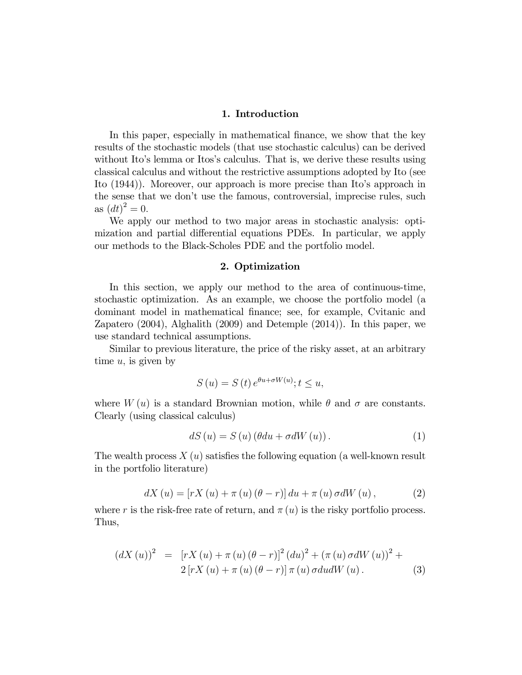#### 1. Introduction

In this paper, especially in mathematical finance, we show that the key results of the stochastic models (that use stochastic calculus) can be derived without Ito's lemma or Itos's calculus. That is, we derive these results using classical calculus and without the restrictive assumptions adopted by Ito (see Ito (1944)). Moreover, our approach is more precise than Ito's approach in the sense that we don't use the famous, controversial, imprecise rules, such as  $(dt)^2 = 0$ .

We apply our method to two major areas in stochastic analysis: optimization and partial differential equations PDEs. In particular, we apply our methods to the Black-Scholes PDE and the portfolio model.

#### 2. Optimization

In this section, we apply our method to the area of continuous-time, stochastic optimization. As an example, we choose the portfolio model (a dominant model in mathematical finance; see, for example, Cvitanic and Zapatero (2004), Alghalith (2009) and Detemple (2014)). In this paper, we use standard technical assumptions.

Similar to previous literature, the price of the risky asset, at an arbitrary time  $u$ , is given by

$$
S\left(u\right) = S\left(t\right)e^{\theta u + \sigma W\left(u\right)}; t \le u,
$$

where  $W(u)$  is a standard Brownian motion, while  $\theta$  and  $\sigma$  are constants. Clearly (using classical calculus)

$$
dS(u) = S(u) (\theta du + \sigma dW(u)). \qquad (1)
$$

The wealth process  $X(u)$  satisfies the following equation (a well-known result in the portfolio literature)

$$
dX (u) = [rX (u) + \pi (u) (\theta - r)] du + \pi (u) \sigma dW (u), \qquad (2)
$$

where r is the risk-free rate of return, and  $\pi(u)$  is the risky portfolio process. Thus,

$$
(dX (u))^{2} = [rX (u) + \pi (u) (\theta - r)]^{2} (du)^{2} + (\pi (u) \sigma dW (u))^{2} +2 [rX (u) + \pi (u) (\theta - r)] \pi (u) \sigma du dW (u).
$$
 (3)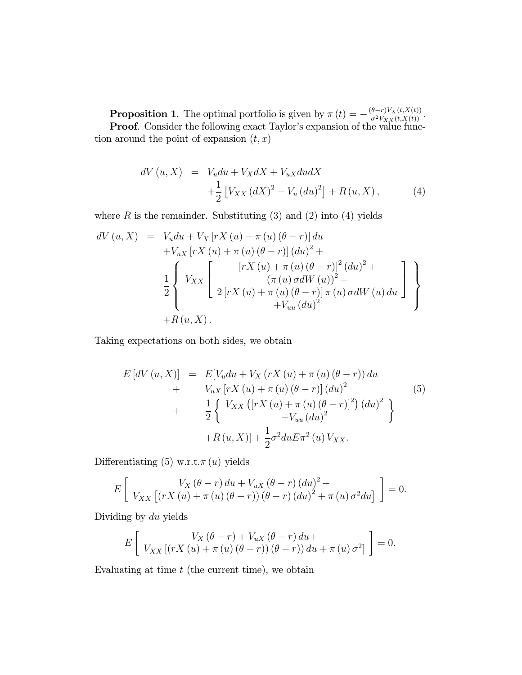**Proposition 1**. The optimal portfolio is given by  $\pi(t) = -\frac{(\theta - r)V_X(t, X(t))}{\sigma^2 V_{XX}(t, X(t))}$ . **Proof.** Consider the following exact Taylor's expansion of the value function around the point of expansion  $(t, x)$ 

$$
dV (u, X) = V_u du + V_X dX + V_{uX} du dX + \frac{1}{2} [V_{XX} (dX)^2 + V_u (du)^2] + R(u, X),
$$
 (4)

where  $R$  is the remainder. Substituting  $(3)$  and  $(2)$  into  $(4)$  yields

$$
dV (u, X) = V_u du + V_X [rX (u) + \pi (u) (\theta - r)] du + V_{uX} [rX (u) + \pi (u) (\theta - r)] (du)2 +
$$
  

$$
\frac{1}{2} \begin{cases} V_{XX} \begin{bmatrix} [rX (u) + \pi (u) (\theta - r)]^2 (du)^2 + \\ (\pi (u) \sigma dW (u))^{2} + \\ 2 [rX (u) + \pi (u) (\theta - r)] \pi (u) \sigma dW (u) du \end{bmatrix} + R(u, X).
$$

Taking expectations on both sides, we obtain

$$
E\left[dV(u,X)\right] = E[V_u du + V_X (rX (u) + \pi (u) (\theta - r)) du + V_{uX} [rX (u) + \pi (u) (\theta - r)] (du)^2 + \frac{1}{2} \left\{ V_{XX} ([rX (u) + \pi (u) (\theta - r)]^2) (du)^2 \right\} + R(u,X)] + \frac{1}{2} \sigma^2 du E \pi^2 (u) V_{XX}.
$$
 (5)

Differentiating (5) w.r.t. $\pi(u)$  yields

$$
E\left[\n\begin{array}{c}\nV_X(\theta-r) \, du + V_{uX}(\theta-r) \left(du\right)^2 + \\
V_{XX}\left[\left(rX\left(u\right) + \pi\left(u\right)\left(\theta-r\right)\right)\left(\theta-r\right) \left(du\right)^2 + \pi\left(u\right)\sigma^2 du\right]\n\end{array}\right] = 0.
$$

Dividing by du yields

$$
E\left[\n\begin{array}{c}\nV_X(\theta-r) + V_{uX}(\theta-r) \, du + \\
V_{XX}\left[\left(rX\left(u\right) + \pi\left(u\right)\left(\theta-r\right)\right)\left(\theta-r\right)\right) \, du + \pi\left(u\right)\sigma^2\right]\n\end{array}\right] = 0.
$$

Evaluating at time  $t$  (the current time), we obtain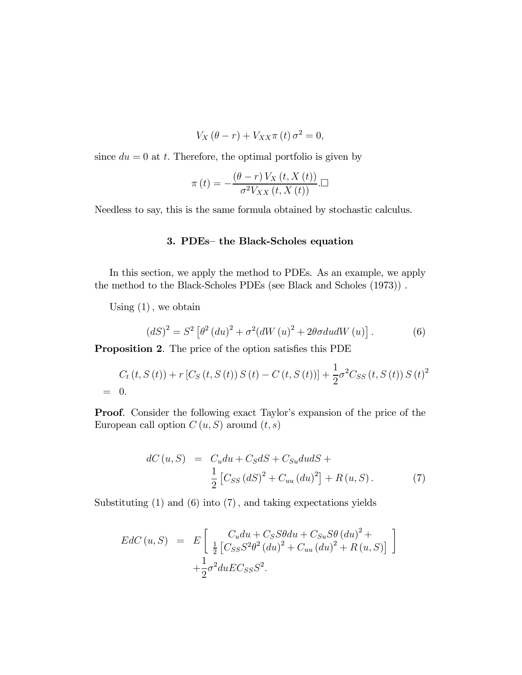$$
V_X(\theta - r) + V_{XX}\pi(t)\sigma^2 = 0,
$$

since  $du = 0$  at t. Therefore, the optimal portfolio is given by

$$
\pi(t) = -\frac{(\theta - r) V_X(t, X(t))}{\sigma^2 V_{XX}(t, X(t))}
$$

Needless to say, this is the same formula obtained by stochastic calculus.

#### 3. PDEs— the Black-Scholes equation

In this section, we apply the method to PDEs. As an example, we apply the method to the Black-Scholes PDEs (see Black and Scholes (1973)) .

Using  $(1)$ , we obtain

$$
(dS)^{2} = S^{2} \left[ \theta^{2} \left( du \right)^{2} + \sigma^{2} \left( dW \left( u \right)^{2} + 2\theta \sigma du dW \left( u \right) \right]. \tag{6}
$$

Proposition 2. The price of the option satisfies this PDE

$$
C_t(t, S(t)) + r [C_S(t, S(t)) S(t) - C(t, S(t))] + \frac{1}{2} \sigma^2 C_{SS}(t, S(t)) S(t)^2
$$
  
= 0.

Proof. Consider the following exact Taylor's expansion of the price of the European call option  $C(u, S)$  around  $(t, s)$ 

$$
dC (u, S) = C_u du + C_S dS + C_{Su} du dS +
$$
  

$$
\frac{1}{2} [C_{SS} (dS)^2 + C_{uu} (du)^2] + R (u, S).
$$
 (7)

Substituting (1) and (6) into (7), and taking expectations yields

$$
EdC (u, S) = E \left[ \frac{C_u du + C_S S \theta du + C_{Su} S \theta (du)^2 +}{\frac{1}{2} \left[ C_{SS} S^2 \theta^2 (du)^2 + C_{uu} (du)^2 + R (u, S) \right]} \right] + \frac{1}{2} \sigma^2 du E C_{SS} S^2.
$$